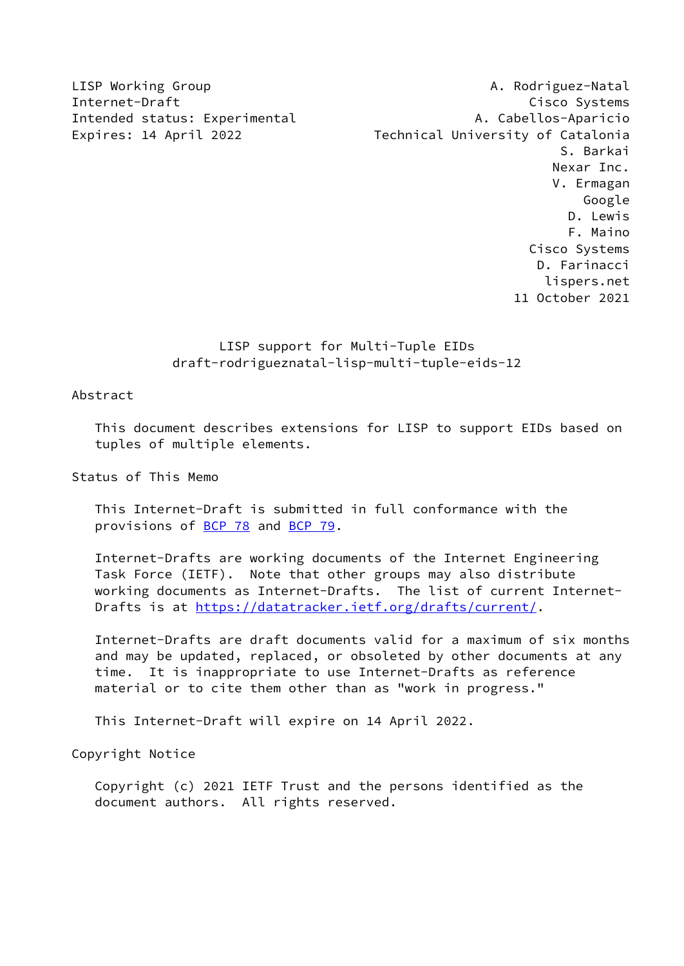LISP Working Group **A. Rodriguez-Natal** Internet-Draft Cisco Systems Intended status: Experimental A. Cabellos-Aparicio Expires: 14 April 2022 Technical University of Catalonia S. Barkai Nexar Inc. V. Ermagan Google D. Lewis F. Maino Cisco Systems D. Farinacci lispers.net 11 October 2021

# LISP support for Multi-Tuple EIDs draft-rodrigueznatal-lisp-multi-tuple-eids-12

Abstract

 This document describes extensions for LISP to support EIDs based on tuples of multiple elements.

Status of This Memo

 This Internet-Draft is submitted in full conformance with the provisions of [BCP 78](https://datatracker.ietf.org/doc/pdf/bcp78) and [BCP 79](https://datatracker.ietf.org/doc/pdf/bcp79).

 Internet-Drafts are working documents of the Internet Engineering Task Force (IETF). Note that other groups may also distribute working documents as Internet-Drafts. The list of current Internet- Drafts is at<https://datatracker.ietf.org/drafts/current/>.

 Internet-Drafts are draft documents valid for a maximum of six months and may be updated, replaced, or obsoleted by other documents at any time. It is inappropriate to use Internet-Drafts as reference material or to cite them other than as "work in progress."

This Internet-Draft will expire on 14 April 2022.

Copyright Notice

 Copyright (c) 2021 IETF Trust and the persons identified as the document authors. All rights reserved.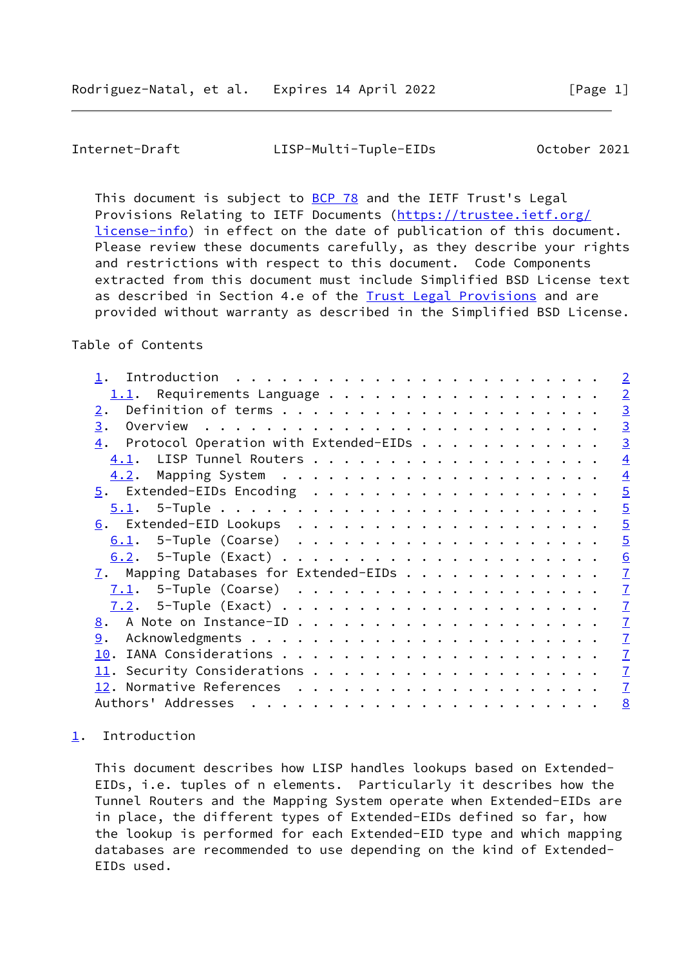### <span id="page-1-1"></span>Internet-Draft LISP-Multi-Tuple-EIDs October 2021

This document is subject to [BCP 78](https://datatracker.ietf.org/doc/pdf/bcp78) and the IETF Trust's Legal Provisions Relating to IETF Documents ([https://trustee.ietf.org/](https://trustee.ietf.org/license-info) [license-info](https://trustee.ietf.org/license-info)) in effect on the date of publication of this document. Please review these documents carefully, as they describe your rights and restrictions with respect to this document. Code Components extracted from this document must include Simplified BSD License text as described in Section 4.e of the **[Trust Legal Provisions](https://trustee.ietf.org/license-info)** and are provided without warranty as described in the Simplified BSD License.

## Table of Contents

|                                                                                 | $\overline{2}$ |
|---------------------------------------------------------------------------------|----------------|
| $1.1$ . Requirements Language                                                   | $\overline{2}$ |
| 2.                                                                              | $\overline{3}$ |
| 3.<br>Overview $\ldots \ldots \ldots \ldots \ldots \ldots \ldots \ldots \ldots$ | $\overline{3}$ |
| $\underline{4}$ . Protocol Operation with Extended-EIDs                         | $\overline{3}$ |
|                                                                                 | $\overline{4}$ |
|                                                                                 | $\overline{4}$ |
|                                                                                 | $\overline{5}$ |
| $5.1$ . 5-Tuple                                                                 | $\overline{5}$ |
|                                                                                 | $\overline{5}$ |
|                                                                                 | $\overline{5}$ |
|                                                                                 | 6              |
| $\overline{1}$ . Mapping Databases for Extended-EIDs                            | $\overline{1}$ |
|                                                                                 | $\overline{1}$ |
|                                                                                 | $\overline{1}$ |
|                                                                                 | $\overline{1}$ |
| 9.                                                                              | $\mathbf{I}$   |
| 10.                                                                             | $\overline{1}$ |
|                                                                                 | $\overline{1}$ |
|                                                                                 | $\mathbf{I}$   |
|                                                                                 | 8              |
|                                                                                 |                |

# <span id="page-1-0"></span>[1](#page-1-0). Introduction

 This document describes how LISP handles lookups based on Extended- EIDs, i.e. tuples of n elements. Particularly it describes how the Tunnel Routers and the Mapping System operate when Extended-EIDs are in place, the different types of Extended-EIDs defined so far, how the lookup is performed for each Extended-EID type and which mapping databases are recommended to use depending on the kind of Extended- EIDs used.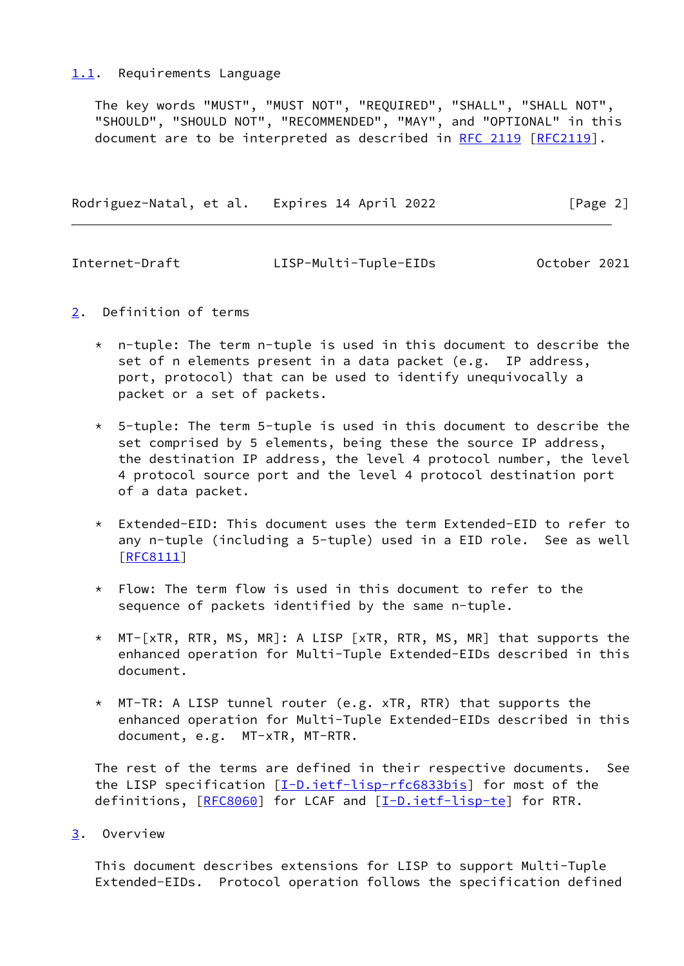#### <span id="page-2-0"></span>[1.1](#page-2-0). Requirements Language

 The key words "MUST", "MUST NOT", "REQUIRED", "SHALL", "SHALL NOT", "SHOULD", "SHOULD NOT", "RECOMMENDED", "MAY", and "OPTIONAL" in this document are to be interpreted as described in [RFC 2119 \[RFC2119](https://datatracker.ietf.org/doc/pdf/rfc2119)].

Rodriguez-Natal, et al. Expires 14 April 2022 [Page 2]

<span id="page-2-2"></span>

| Internet-Draft | LISP-Multi-Tuple-EIDs | October 2021 |
|----------------|-----------------------|--------------|
|                |                       |              |

- <span id="page-2-1"></span>[2](#page-2-1). Definition of terms
	- $*$  n-tuple: The term n-tuple is used in this document to describe the set of n elements present in a data packet (e.g. IP address, port, protocol) that can be used to identify unequivocally a packet or a set of packets.
	- $*$  5-tuple: The term 5-tuple is used in this document to describe the set comprised by 5 elements, being these the source IP address, the destination IP address, the level 4 protocol number, the level 4 protocol source port and the level 4 protocol destination port of a data packet.
	- \* Extended-EID: This document uses the term Extended-EID to refer to any n-tuple (including a 5-tuple) used in a EID role. See as well [[RFC8111\]](https://datatracker.ietf.org/doc/pdf/rfc8111)
	- $*$  Flow: The term flow is used in this document to refer to the sequence of packets identified by the same n-tuple.
	- \* MT-[xTR, RTR, MS, MR]: A LISP [xTR, RTR, MS, MR] that supports the enhanced operation for Multi-Tuple Extended-EIDs described in this document.
	- \* MT-TR: A LISP tunnel router (e.g. xTR, RTR) that supports the enhanced operation for Multi-Tuple Extended-EIDs described in this document, e.g. MT-xTR, MT-RTR.

 The rest of the terms are defined in their respective documents. See the LISP specification [\[I-D.ietf-lisp-rfc6833bis](#page-8-0)] for most of the definitions, [\[RFC8060](https://datatracker.ietf.org/doc/pdf/rfc8060)] for LCAF and [\[I-D.ietf-lisp-te](#page-8-1)] for RTR.

<span id="page-2-3"></span>[3](#page-2-3). Overview

 This document describes extensions for LISP to support Multi-Tuple Extended-EIDs. Protocol operation follows the specification defined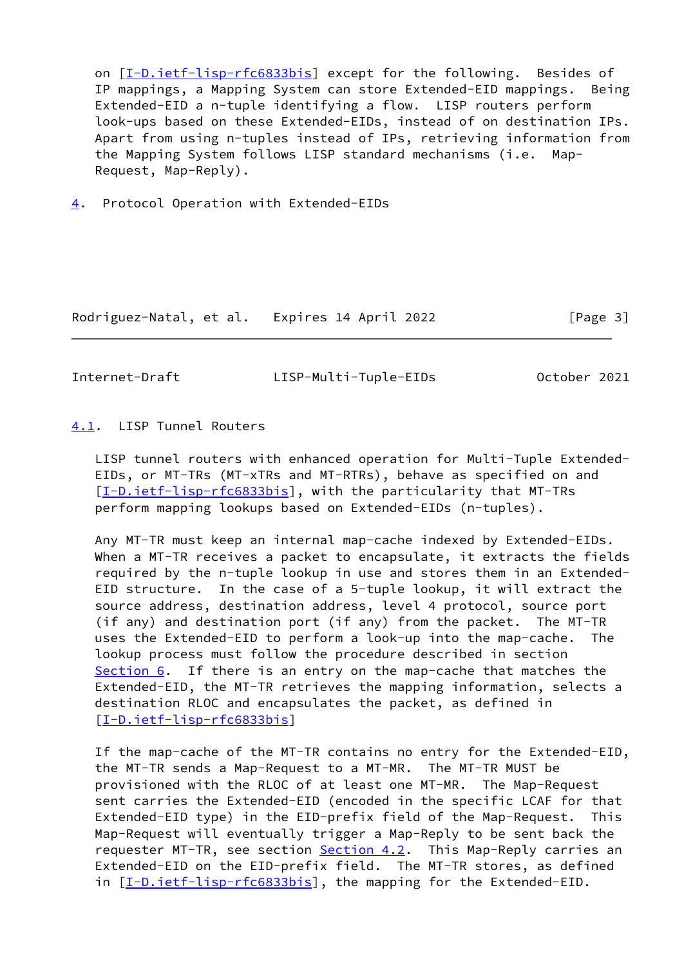on [[I-D.ietf-lisp-rfc6833bis\]](#page-8-0) except for the following. Besides of IP mappings, a Mapping System can store Extended-EID mappings. Being Extended-EID a n-tuple identifying a flow. LISP routers perform look-ups based on these Extended-EIDs, instead of on destination IPs. Apart from using n-tuples instead of IPs, retrieving information from the Mapping System follows LISP standard mechanisms (i.e. Map-Request, Map-Reply).

<span id="page-3-0"></span>[4](#page-3-0). Protocol Operation with Extended-EIDs

Rodriguez-Natal, et al. Expires 14 April 2022 [Page 3]

<span id="page-3-2"></span>Internet-Draft LISP-Multi-Tuple-EIDs October 2021

#### <span id="page-3-1"></span>[4.1](#page-3-1). LISP Tunnel Routers

 LISP tunnel routers with enhanced operation for Multi-Tuple Extended- EIDs, or MT-TRs (MT-xTRs and MT-RTRs), behave as specified on and [\[I-D.ietf-lisp-rfc6833bis](#page-8-0)], with the particularity that MT-TRs perform mapping lookups based on Extended-EIDs (n-tuples).

 Any MT-TR must keep an internal map-cache indexed by Extended-EIDs. When a MT-TR receives a packet to encapsulate, it extracts the fields required by the n-tuple lookup in use and stores them in an Extended- EID structure. In the case of a 5-tuple lookup, it will extract the source address, destination address, level 4 protocol, source port (if any) and destination port (if any) from the packet. The MT-TR uses the Extended-EID to perform a look-up into the map-cache. The lookup process must follow the procedure described in section [Section 6](#page-4-4). If there is an entry on the map-cache that matches the Extended-EID, the MT-TR retrieves the mapping information, selects a destination RLOC and encapsulates the packet, as defined in [\[I-D.ietf-lisp-rfc6833bis](#page-8-0)]

 If the map-cache of the MT-TR contains no entry for the Extended-EID, the MT-TR sends a Map-Request to a MT-MR. The MT-TR MUST be provisioned with the RLOC of at least one MT-MR. The Map-Request sent carries the Extended-EID (encoded in the specific LCAF for that Extended-EID type) in the EID-prefix field of the Map-Request. This Map-Request will eventually trigger a Map-Reply to be sent back the requester MT-TR, see section [Section 4.2](#page-4-0). This Map-Reply carries an Extended-EID on the EID-prefix field. The MT-TR stores, as defined in [[I-D.ietf-lisp-rfc6833bis\]](#page-8-0), the mapping for the Extended-EID.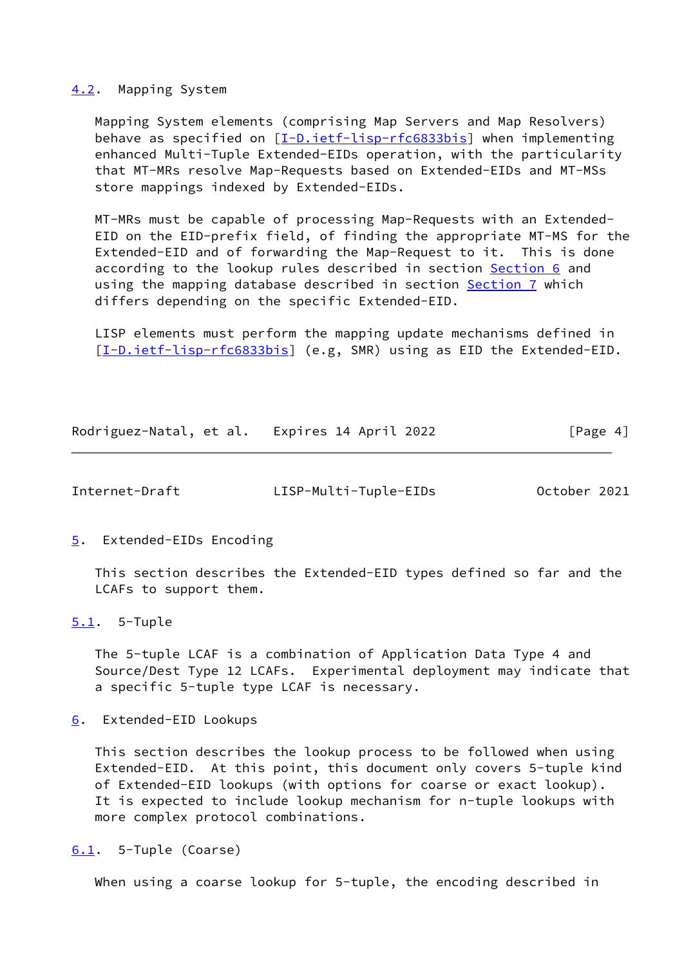#### <span id="page-4-0"></span>[4.2](#page-4-0). Mapping System

 Mapping System elements (comprising Map Servers and Map Resolvers) behave as specified on [\[I-D.ietf-lisp-rfc6833bis](#page-8-0)] when implementing enhanced Multi-Tuple Extended-EIDs operation, with the particularity that MT-MRs resolve Map-Requests based on Extended-EIDs and MT-MSs store mappings indexed by Extended-EIDs.

 MT-MRs must be capable of processing Map-Requests with an Extended- EID on the EID-prefix field, of finding the appropriate MT-MS for the Extended-EID and of forwarding the Map-Request to it. This is done according to the lookup rules described in section [Section 6](#page-4-4) and using the mapping database described in section [Section 7](#page-6-1) which differs depending on the specific Extended-EID.

 LISP elements must perform the mapping update mechanisms defined in [\[I-D.ietf-lisp-rfc6833bis](#page-8-0)] (e.g, SMR) using as EID the Extended-EID.

Rodriguez-Natal, et al. Expires 14 April 2022 [Page 4]

<span id="page-4-2"></span>Internet-Draft LISP-Multi-Tuple-EIDs October 2021

<span id="page-4-1"></span>[5](#page-4-1). Extended-EIDs Encoding

 This section describes the Extended-EID types defined so far and the LCAFs to support them.

<span id="page-4-3"></span>[5.1](#page-4-3). 5-Tuple

 The 5-tuple LCAF is a combination of Application Data Type 4 and Source/Dest Type 12 LCAFs. Experimental deployment may indicate that a specific 5-tuple type LCAF is necessary.

<span id="page-4-4"></span>[6](#page-4-4). Extended-EID Lookups

 This section describes the lookup process to be followed when using Extended-EID. At this point, this document only covers 5-tuple kind of Extended-EID lookups (with options for coarse or exact lookup). It is expected to include lookup mechanism for n-tuple lookups with more complex protocol combinations.

<span id="page-4-5"></span>[6.1](#page-4-5). 5-Tuple (Coarse)

When using a coarse lookup for 5-tuple, the encoding described in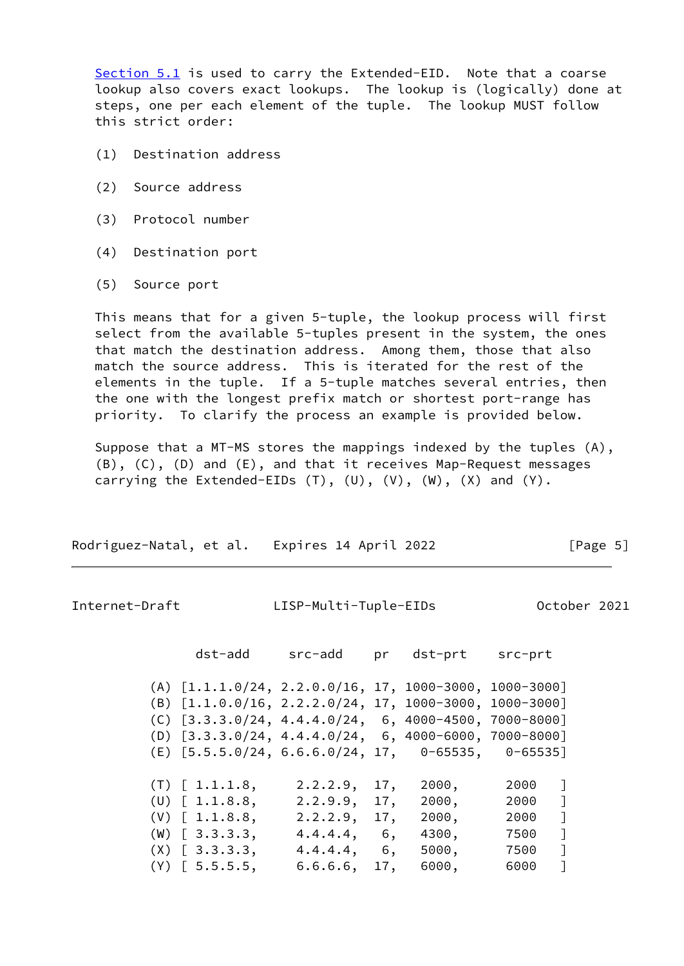[Section 5.1](#page-4-3) is used to carry the Extended-EID. Note that a coarse lookup also covers exact lookups. The lookup is (logically) done at steps, one per each element of the tuple. The lookup MUST follow this strict order:

- (1) Destination address
- (2) Source address
- (3) Protocol number
- (4) Destination port
- (5) Source port

 This means that for a given 5-tuple, the lookup process will first select from the available 5-tuples present in the system, the ones that match the destination address. Among them, those that also match the source address. This is iterated for the rest of the elements in the tuple. If a 5-tuple matches several entries, then the one with the longest prefix match or shortest port-range has priority. To clarify the process an example is provided below.

 Suppose that a MT-MS stores the mappings indexed by the tuples (A), (B), (C), (D) and (E), and that it receives Map-Request messages carrying the Extended-EIDs  $(T)$ ,  $(U)$ ,  $(V)$ ,  $(W)$ ,  $(X)$  and  $(Y)$ .

| Rodriguez-Natal, et al. Expires 14 April 2022 | [Page 5] |
|-----------------------------------------------|----------|
|                                               |          |

<span id="page-5-0"></span>Internet-Draft LISP-Multi-Tuple-EIDs October 2021

| dst-add                                                                                                                                                                    | src-add                                                        | pr                | dst-prt                                   | src-prt                              |                   |
|----------------------------------------------------------------------------------------------------------------------------------------------------------------------------|----------------------------------------------------------------|-------------------|-------------------------------------------|--------------------------------------|-------------------|
| $(A)$ $[1.1.1.0/24, 2.2.0.0/16, 17, 1000-3000, 1000-3000]$<br>$(B)$ $[1.1.0.0/16, 2.2.2.0/24, 17, 1000-3000,$<br>$(C)$ $[3.3.3.0/24, 4.4.4.0/24, 6, 4000-4500, 7000-8000]$ |                                                                |                   |                                           | 1000-3000]                           |                   |
| $(D)$ $[3.3.3.0/24, 4.4.4.0/24, 6, 4000-6000, 7000-8000]$<br>$(E)$ [5.5.5.0/24, 6.6.6.0/24, 17, 0-65535, 0-65535]                                                          |                                                                |                   |                                           |                                      |                   |
| $(T)$ [ 1.1.1.8,<br>$(U)$ [ 1.1.8.8,<br>$(V)$ [ 1.1.8.8,<br>$(W)$ [ 3.3.3.3,<br>$(X)$ $[3.3.3.3]$ ,                                                                        | 2.2.2.9,<br>2.2.9.9,<br>2.2.2.9,<br>4.4.4.4, 6,<br>4.4.4.4, 6, | 17,<br>17,<br>17, | 2000,<br>2000,<br>2000,<br>4300,<br>5000, | 2000<br>2000<br>2000<br>7500<br>7500 | $\mathbb{I}$<br>1 |
| $(Y)$ [ 5.5.5.5,                                                                                                                                                           | 6.6.6.6,                                                       | 17,               | 6000,                                     | 6000                                 |                   |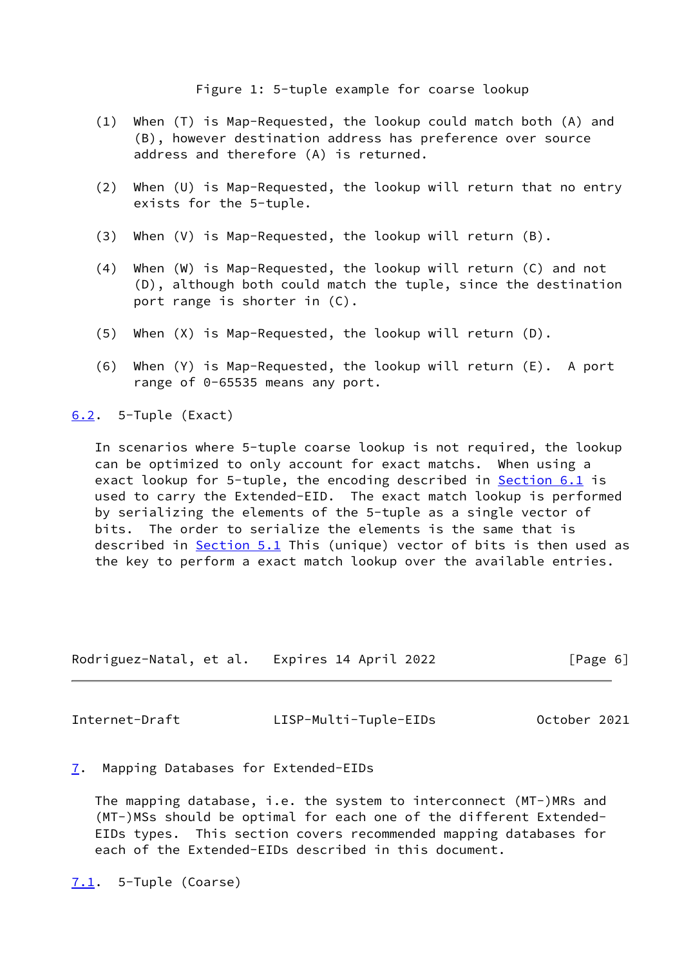Figure 1: 5-tuple example for coarse lookup

- (1) When (T) is Map-Requested, the lookup could match both (A) and (B), however destination address has preference over source address and therefore (A) is returned.
- (2) When (U) is Map-Requested, the lookup will return that no entry exists for the 5-tuple.
- (3) When (V) is Map-Requested, the lookup will return (B).
- (4) When (W) is Map-Requested, the lookup will return (C) and not (D), although both could match the tuple, since the destination port range is shorter in (C).
- (5) When (X) is Map-Requested, the lookup will return (D).
- (6) When (Y) is Map-Requested, the lookup will return (E). A port range of 0-65535 means any port.

<span id="page-6-0"></span>[6.2](#page-6-0). 5-Tuple (Exact)

 In scenarios where 5-tuple coarse lookup is not required, the lookup can be optimized to only account for exact matchs. When using a exact lookup for 5-tuple, the encoding described in **Section 6.1** is used to carry the Extended-EID. The exact match lookup is performed by serializing the elements of the 5-tuple as a single vector of bits. The order to serialize the elements is the same that is described in [Section 5.1](#page-4-3) This (unique) vector of bits is then used as the key to perform a exact match lookup over the available entries.

| Rodriguez-Natal, et al. | Expires 14 April 2022 | [Page 6] |
|-------------------------|-----------------------|----------|
|-------------------------|-----------------------|----------|

<span id="page-6-2"></span>Internet-Draft LISP-Multi-Tuple-EIDs October 2021

<span id="page-6-1"></span>[7](#page-6-1). Mapping Databases for Extended-EIDs

 The mapping database, i.e. the system to interconnect (MT-)MRs and (MT-)MSs should be optimal for each one of the different Extended- EIDs types. This section covers recommended mapping databases for each of the Extended-EIDs described in this document.

<span id="page-6-3"></span> $7.1.$  $7.1.$  5-Tuple (Coarse)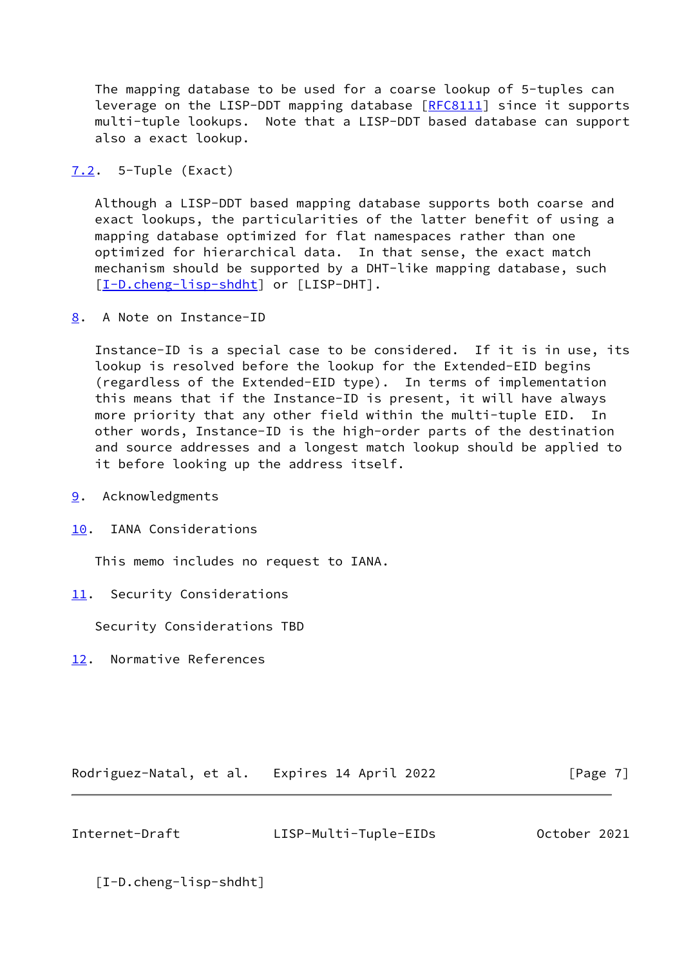The mapping database to be used for a coarse lookup of 5-tuples can leverage on the LISP-DDT mapping database [[RFC8111](https://datatracker.ietf.org/doc/pdf/rfc8111)] since it supports multi-tuple lookups. Note that a LISP-DDT based database can support also a exact lookup.

<span id="page-7-0"></span>[7.2](#page-7-0). 5-Tuple (Exact)

 Although a LISP-DDT based mapping database supports both coarse and exact lookups, the particularities of the latter benefit of using a mapping database optimized for flat namespaces rather than one optimized for hierarchical data. In that sense, the exact match mechanism should be supported by a DHT-like mapping database, such [\[I-D.cheng-lisp-shdht](#page-7-7)] or [LISP-DHT].

<span id="page-7-1"></span>[8](#page-7-1). A Note on Instance-ID

 Instance-ID is a special case to be considered. If it is in use, its lookup is resolved before the lookup for the Extended-EID begins (regardless of the Extended-EID type). In terms of implementation this means that if the Instance-ID is present, it will have always more priority that any other field within the multi-tuple EID. In other words, Instance-ID is the high-order parts of the destination and source addresses and a longest match lookup should be applied to it before looking up the address itself.

- <span id="page-7-2"></span>[9](#page-7-2). Acknowledgments
- <span id="page-7-3"></span>[10.](#page-7-3) IANA Considerations

This memo includes no request to IANA.

<span id="page-7-4"></span>[11.](#page-7-4) Security Considerations

Security Considerations TBD

<span id="page-7-5"></span>[12.](#page-7-5) Normative References

Rodriguez-Natal, et al. Expires 14 April 2022 [Page 7]

<span id="page-7-6"></span>Internet-Draft LISP-Multi-Tuple-EIDs October 2021

<span id="page-7-7"></span>[I-D.cheng-lisp-shdht]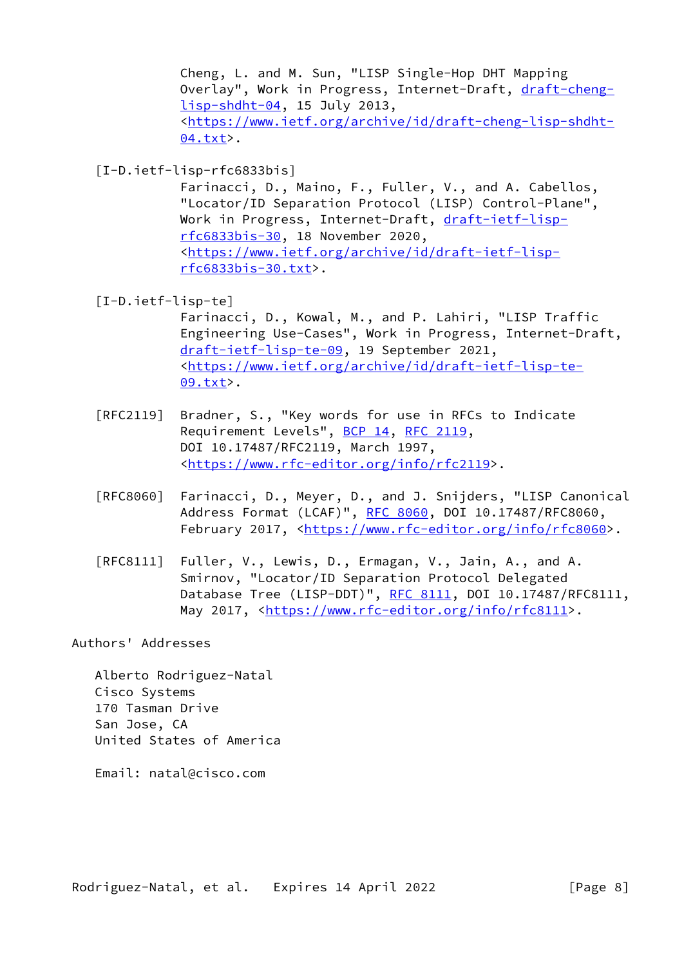Cheng, L. and M. Sun, "LISP Single-Hop DHT Mapping Overlay", Work in Progress, Internet-Draft, [draft-cheng](https://datatracker.ietf.org/doc/pdf/draft-cheng-lisp-shdht-04) [lisp-shdht-04,](https://datatracker.ietf.org/doc/pdf/draft-cheng-lisp-shdht-04) 15 July 2013, <[https://www.ietf.org/archive/id/draft-cheng-lisp-shdht-](https://www.ietf.org/archive/id/draft-cheng-lisp-shdht-04.txt) [04.txt](https://www.ietf.org/archive/id/draft-cheng-lisp-shdht-04.txt)>.

<span id="page-8-0"></span>[I-D.ietf-lisp-rfc6833bis]

 Farinacci, D., Maino, F., Fuller, V., and A. Cabellos, "Locator/ID Separation Protocol (LISP) Control-Plane", Work in Progress, Internet-Draft, [draft-ietf-lisp](https://datatracker.ietf.org/doc/pdf/draft-ietf-lisp-rfc6833bis-30) [rfc6833bis-30,](https://datatracker.ietf.org/doc/pdf/draft-ietf-lisp-rfc6833bis-30) 18 November 2020, <[https://www.ietf.org/archive/id/draft-ietf-lisp](https://www.ietf.org/archive/id/draft-ietf-lisp-rfc6833bis-30.txt) [rfc6833bis-30.txt>](https://www.ietf.org/archive/id/draft-ietf-lisp-rfc6833bis-30.txt).

<span id="page-8-1"></span>[I-D.ietf-lisp-te]

 Farinacci, D., Kowal, M., and P. Lahiri, "LISP Traffic Engineering Use-Cases", Work in Progress, Internet-Draft, [draft-ietf-lisp-te-09,](https://datatracker.ietf.org/doc/pdf/draft-ietf-lisp-te-09) 19 September 2021, <[https://www.ietf.org/archive/id/draft-ietf-lisp-te-](https://www.ietf.org/archive/id/draft-ietf-lisp-te-09.txt) [09.txt](https://www.ietf.org/archive/id/draft-ietf-lisp-te-09.txt)>.

- [RFC2119] Bradner, S., "Key words for use in RFCs to Indicate Requirement Levels", [BCP 14](https://datatracker.ietf.org/doc/pdf/bcp14), [RFC 2119](https://datatracker.ietf.org/doc/pdf/rfc2119), DOI 10.17487/RFC2119, March 1997, <[https://www.rfc-editor.org/info/rfc2119>](https://www.rfc-editor.org/info/rfc2119).
- [RFC8060] Farinacci, D., Meyer, D., and J. Snijders, "LISP Canonical Address Format (LCAF)", [RFC 8060,](https://datatracker.ietf.org/doc/pdf/rfc8060) DOI 10.17487/RFC8060, February 2017, <<https://www.rfc-editor.org/info/rfc8060>>.
- [RFC8111] Fuller, V., Lewis, D., Ermagan, V., Jain, A., and A. Smirnov, "Locator/ID Separation Protocol Delegated Database Tree (LISP-DDT)", [RFC 8111](https://datatracker.ietf.org/doc/pdf/rfc8111), DOI 10.17487/RFC8111, May 2017, [<https://www.rfc-editor.org/info/rfc8111](https://www.rfc-editor.org/info/rfc8111)>.

Authors' Addresses

 Alberto Rodriguez-Natal Cisco Systems 170 Tasman Drive San Jose, CA United States of America

Email: natal@cisco.com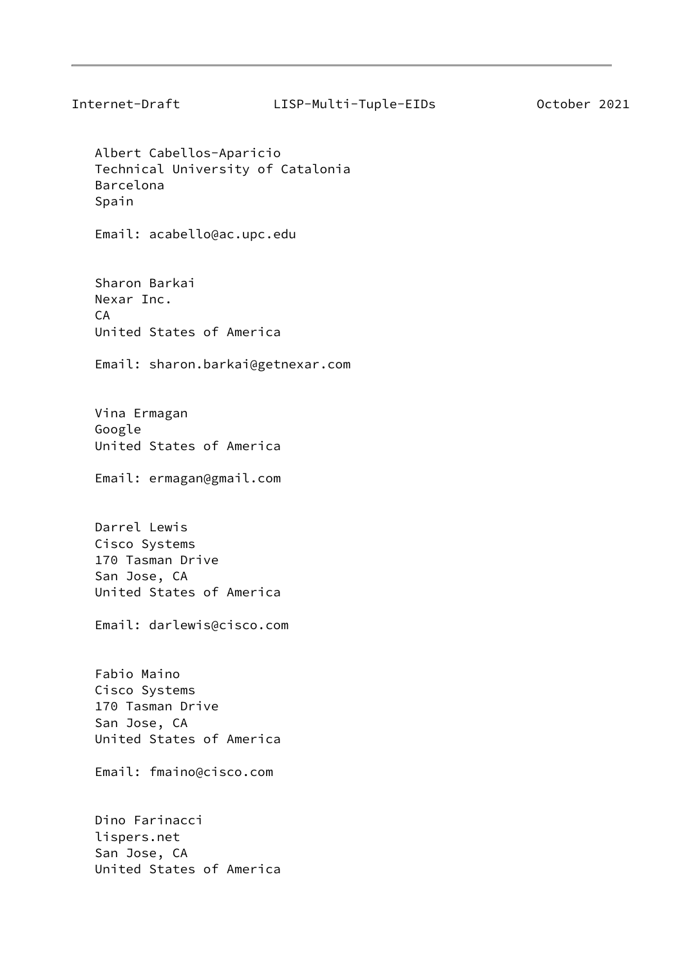Albert Cabellos-Aparicio Technical University of Catalonia Barcelona Spain

Email: acabello@ac.upc.edu

 Sharon Barkai Nexar Inc. CA United States of America

Email: sharon.barkai@getnexar.com

 Vina Ermagan Google United States of America

Email: ermagan@gmail.com

 Darrel Lewis Cisco Systems 170 Tasman Drive San Jose, CA United States of America

Email: darlewis@cisco.com

 Fabio Maino Cisco Systems 170 Tasman Drive San Jose, CA United States of America

Email: fmaino@cisco.com

 Dino Farinacci lispers.net San Jose, CA United States of America